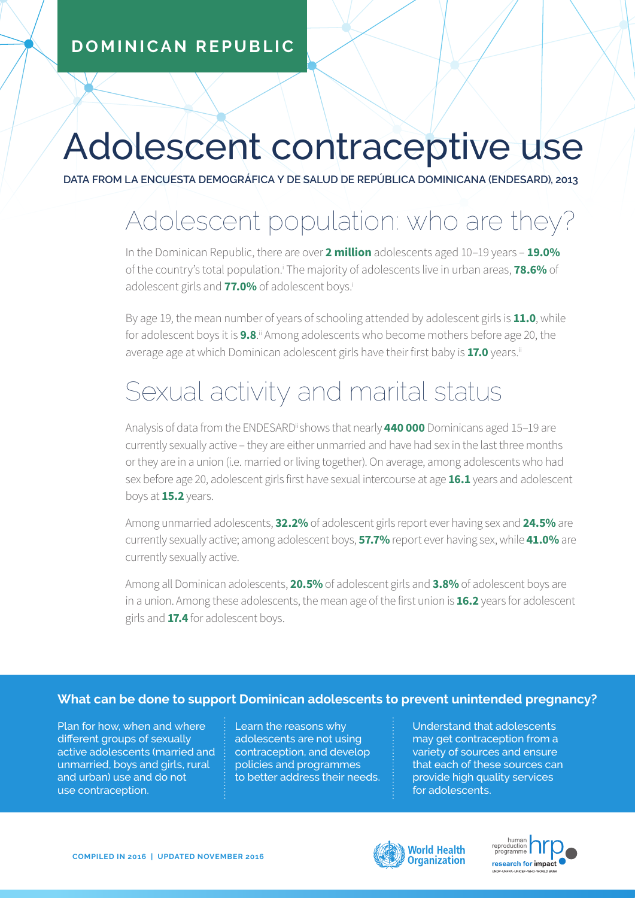#### **DOMINICAN REPUBLIC**

# Adolescent contraceptive use

**DATA FROM LA ENCUESTA DEMOGRÁFICA Y DE SALUD DE REPÚBLICA DOMINICANA (ENDESARD), 2013**

## Adolescent population: who are they?

In the Dominican Republic, there are over **2 million** adolescents aged 10–19 years – **19.0%** of the country's total population.<sup>i</sup> The majority of adolescents live in urban areas, **78.6%** of adolescent girls and **77.0%** of adolescent boys.i

By age 19, the mean number of years of schooling attended by adolescent girls is **11.0**, while for adolescent boys it is **9.8**.<sup>ii</sup> Among adolescents who become mothers before age 20, the average age at which Dominican adolescent girls have their first baby is **17.0** years.<sup>ii</sup>

## Sexual activity and marital status

Analysis of data from the ENDESARDii shows that nearly **440 000** Dominicans aged 15–19 are currently sexually active – they are either unmarried and have had sex in the last three months or they are in a union (i.e. married or living together). On average, among adolescents who had sex before age 20, adolescent girls first have sexual intercourse at age **16.1** years and adolescent boys at **15.2** years.

Among unmarried adolescents, **32.2%** of adolescent girls report ever having sex and **24.5%** are currently sexually active; among adolescent boys, **57.7%** report ever having sex, while **41.0%** are currently sexually active.

Among all Dominican adolescents, **20.5%** of adolescent girls and **3.8%** of adolescent boys are in a union. Among these adolescents, the mean age of the first union is **16.2** years for adolescent girls and **17.4** for adolescent boys.

#### **What can be done to support Dominican adolescents to prevent unintended pregnancy?**

Plan for how, when and where different groups of sexually active adolescents (married and unmarried, boys and girls, rural and urban) use and do not use contraception.

Learn the reasons why adolescents are not using contraception, and develop policies and programmes to better address their needs.

Understand that adolescents may get contraception from a variety of sources and ensure that each of these sources can provide high quality services for adolescents.



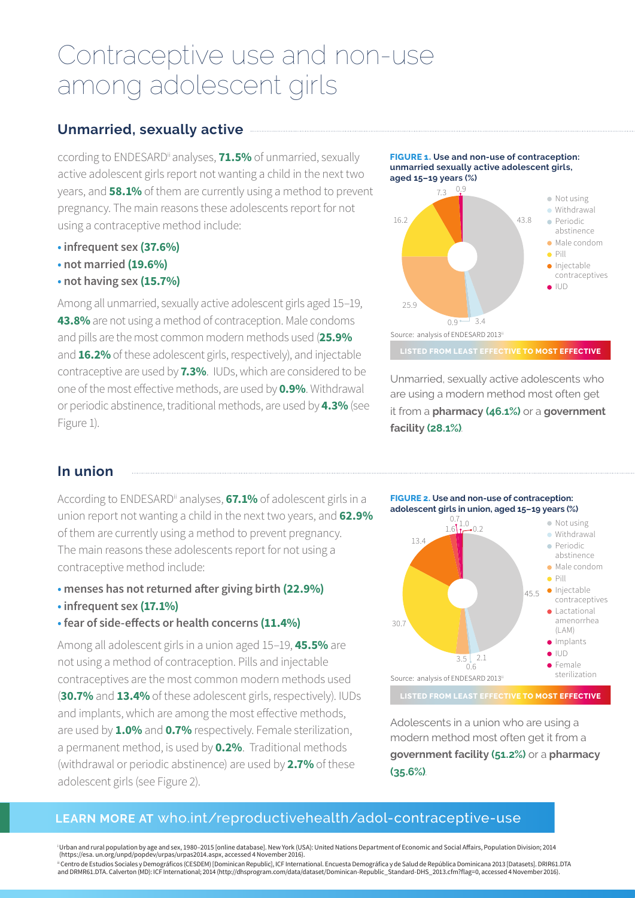### Contraceptive use and non-use among adolescent girls

#### **Unmarried, sexually active**

ccording to ENDESARDii analyses, **71.5%** of unmarried, sexually active adolescent girls report not wanting a child in the next two years, and **58.1%** of them are currently using a method to prevent pregnancy. The main reasons these adolescents report for not using a contraceptive method include:

- **infrequent sex (37.6%)**
- **not married (19.6%)**
- **not having sex (15.7%)**

Among all unmarried, sexually active adolescent girls aged 15–19, **43.8%** are not using a method of contraception. Male condoms and pills are the most common modern methods used (**25.9%** and **16.2%** of these adolescent girls, respectively), and injectable contraceptive are used by **7.3%**. IUDs, which are considered to be one of the most effective methods, are used by **0.9%**. Withdrawal or periodic abstinence, traditional methods, are used by **4.3%** (see Figure 1).



Unmarried, sexually active adolescents who are using a modern method most often get it from a **pharmacy (46.1%)** or a **government facility (28.1%)**.

#### **In union**

According to ENDESARDii analyses, **67.1%** of adolescent girls in a union report not wanting a child in the next two years, and **62.9%** of them are currently using a method to prevent pregnancy. The main reasons these adolescents report for not using a contraceptive method include:

- **menses has not returned after giving birth (22.9%)**
- **infrequent sex (17.1%)**
- **fear of side-effects or health concerns (11.4%)**

Among all adolescent girls in a union aged 15–19, **45.5%** are not using a method of contraception. Pills and injectable contraceptives are the most common modern methods used (**30.7%** and **13.4%** of these adolescent girls, respectively). IUDs and implants, which are among the most effective methods, are used by **1.0%** and **0.7%** respectively. Female sterilization, a permanent method, is used by **0.2%**. Traditional methods (withdrawal or periodic abstinence) are used by **2.7%** of these adolescent girls (see Figure 2).

**FIGURE 2. Use and non-use of contraception: adolescent girls in union, aged 15–19 years (%)**



Adolescents in a union who are using a modern method most often get it from a **government facility (51.2%)** or a **pharmacy (35.6%)**.

#### **LEARN MORE AT** who.int/reproductivehealth/adol-contraceptive-use

i Urban and rural population by age and sex, 1980–2015 [online database]. New York (USA): United Nations Department of Economic and Social Affairs, Population Division; 2014 (https://esa. un.org/unpd/popdev/urpas/urpas2014.aspx, accessed 4 November 2016). "Centro de Estudios Sociales y Demográficos (CESDEM) [Dominican Republic], ICF International. Encuesta Demográfica y de Salud de República Dominicana 2013 [Datasets]. DRIR61.DTA<br>and DRMR61.DTA. Calverton (MD): ICF Interna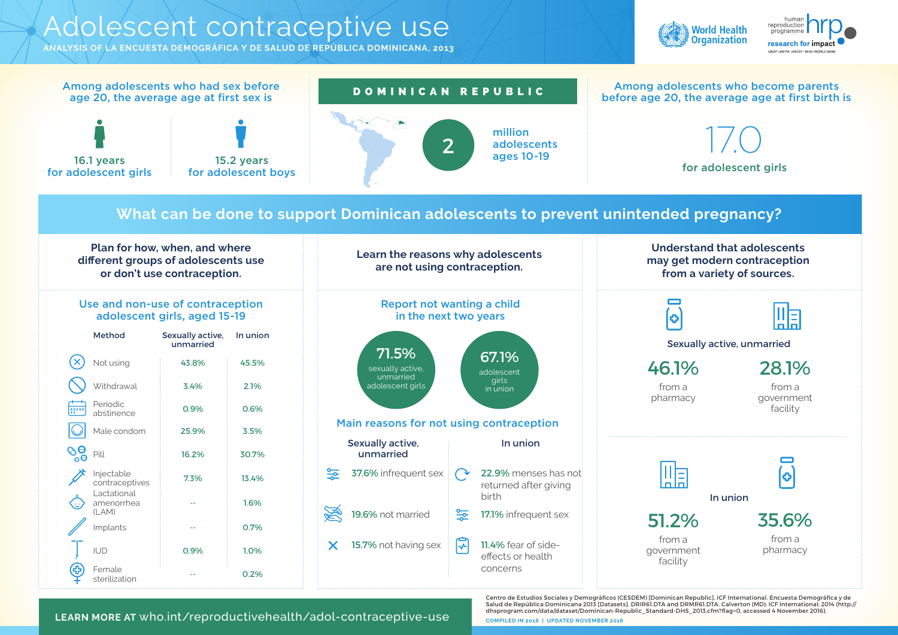### Adolescent contraceptive use

**ANALYSIS OF LA ENCUESTA DEMOGRÁFICA Y DE SALUD DE REPÚBLICA DOMINICANA, 2013**



Centro de Estudios Sociales y Demográficos (CESDEM) [Dominican Republic], ICF International. Encuesta Demográfica y de





**COMPILED IN 2016 | UPDATED NOVEMBER 2016** Salud de República Dominicana 2013 [Datasets]. DRIR61.DTA and DRMR61.DTA. Calverton (MD): ICF International; 2014 (http:// dhsprogram.com/data/dataset/Dominican-Republic\_Standard-DHS\_2013.cfm?flag=0, accessed 4 November 2016). **LEARN MORE AT** who.int/reproductivehealth/adol-contraceptive-use